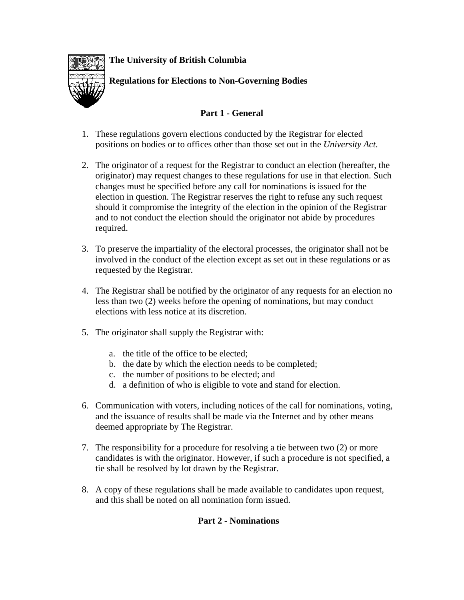**The University of British Columbia** 

**Regulations for Elections to Non-Governing Bodies** 

## **Part 1 - General**

- 1. These regulations govern elections conducted by the Registrar for elected positions on bodies or to offices other than those set out in the *University Act*.
- 2. The originator of a request for the Registrar to conduct an election (hereafter, the originator) may request changes to these regulations for use in that election. Such changes must be specified before any call for nominations is issued for the election in question. The Registrar reserves the right to refuse any such request should it compromise the integrity of the election in the opinion of the Registrar and to not conduct the election should the originator not abide by procedures required.
- 3. To preserve the impartiality of the electoral processes, the originator shall not be involved in the conduct of the election except as set out in these regulations or as requested by the Registrar.
- 4. The Registrar shall be notified by the originator of any requests for an election no less than two (2) weeks before the opening of nominations, but may conduct elections with less notice at its discretion.
- 5. The originator shall supply the Registrar with:
	- a. the title of the office to be elected;
	- b. the date by which the election needs to be completed;
	- c. the number of positions to be elected; and
	- d. a definition of who is eligible to vote and stand for election.
- 6. Communication with voters, including notices of the call for nominations, voting, and the issuance of results shall be made via the Internet and by other means deemed appropriate by The Registrar.
- 7. The responsibility for a procedure for resolving a tie between two (2) or more candidates is with the originator. However, if such a procedure is not specified, a tie shall be resolved by lot drawn by the Registrar.
- 8. A copy of these regulations shall be made available to candidates upon request, and this shall be noted on all nomination form issued.

## **Part 2 - Nominations**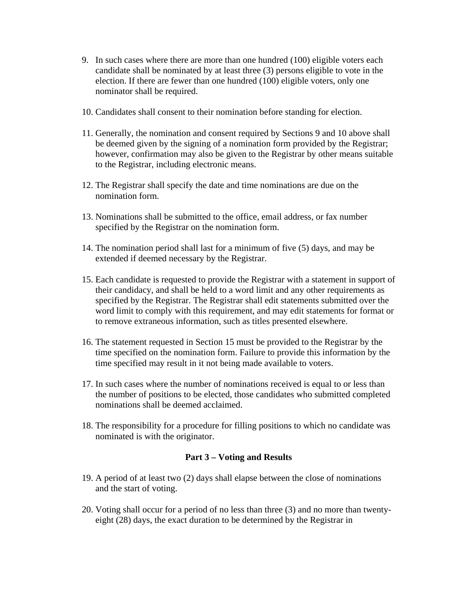- 9. In such cases where there are more than one hundred (100) eligible voters each candidate shall be nominated by at least three (3) persons eligible to vote in the election. If there are fewer than one hundred (100) eligible voters, only one nominator shall be required.
- 10. Candidates shall consent to their nomination before standing for election.
- 11. Generally, the nomination and consent required by Sections 9 and 10 above shall be deemed given by the signing of a nomination form provided by the Registrar; however, confirmation may also be given to the Registrar by other means suitable to the Registrar, including electronic means.
- 12. The Registrar shall specify the date and time nominations are due on the nomination form.
- 13. Nominations shall be submitted to the office, email address, or fax number specified by the Registrar on the nomination form.
- 14. The nomination period shall last for a minimum of five (5) days, and may be extended if deemed necessary by the Registrar.
- 15. Each candidate is requested to provide the Registrar with a statement in support of their candidacy, and shall be held to a word limit and any other requirements as specified by the Registrar. The Registrar shall edit statements submitted over the word limit to comply with this requirement, and may edit statements for format or to remove extraneous information, such as titles presented elsewhere.
- 16. The statement requested in Section 15 must be provided to the Registrar by the time specified on the nomination form. Failure to provide this information by the time specified may result in it not being made available to voters.
- 17. In such cases where the number of nominations received is equal to or less than the number of positions to be elected, those candidates who submitted completed nominations shall be deemed acclaimed.
- 18. The responsibility for a procedure for filling positions to which no candidate was nominated is with the originator.

## **Part 3 – Voting and Results**

- 19. A period of at least two (2) days shall elapse between the close of nominations and the start of voting.
- 20. Voting shall occur for a period of no less than three (3) and no more than twentyeight (28) days, the exact duration to be determined by the Registrar in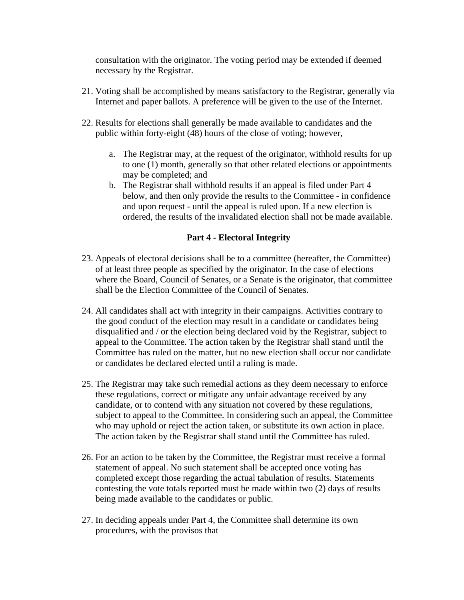consultation with the originator. The voting period may be extended if deemed necessary by the Registrar.

- 21. Voting shall be accomplished by means satisfactory to the Registrar, generally via Internet and paper ballots. A preference will be given to the use of the Internet.
- 22. Results for elections shall generally be made available to candidates and the public within forty-eight (48) hours of the close of voting; however,
	- a. The Registrar may, at the request of the originator, withhold results for up to one (1) month, generally so that other related elections or appointments may be completed; and
	- b. The Registrar shall withhold results if an appeal is filed under Part 4 below, and then only provide the results to the Committee - in confidence and upon request - until the appeal is ruled upon. If a new election is ordered, the results of the invalidated election shall not be made available.

## **Part 4 - Electoral Integrity**

- 23. Appeals of electoral decisions shall be to a committee (hereafter, the Committee) of at least three people as specified by the originator. In the case of elections where the Board, Council of Senates, or a Senate is the originator, that committee shall be the Election Committee of the Council of Senates.
- 24. All candidates shall act with integrity in their campaigns. Activities contrary to the good conduct of the election may result in a candidate or candidates being disqualified and / or the election being declared void by the Registrar, subject to appeal to the Committee. The action taken by the Registrar shall stand until the Committee has ruled on the matter, but no new election shall occur nor candidate or candidates be declared elected until a ruling is made.
- 25. The Registrar may take such remedial actions as they deem necessary to enforce these regulations, correct or mitigate any unfair advantage received by any candidate, or to contend with any situation not covered by these regulations, subject to appeal to the Committee. In considering such an appeal, the Committee who may uphold or reject the action taken, or substitute its own action in place. The action taken by the Registrar shall stand until the Committee has ruled.
- 26. For an action to be taken by the Committee, the Registrar must receive a formal statement of appeal. No such statement shall be accepted once voting has completed except those regarding the actual tabulation of results. Statements contesting the vote totals reported must be made within two (2) days of results being made available to the candidates or public.
- 27. In deciding appeals under Part 4, the Committee shall determine its own procedures, with the provisos that